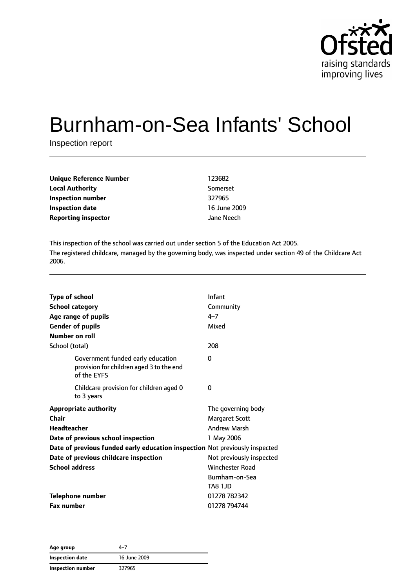

# Burnham-on-Sea Infants' School

Inspection report

| Unique Reference Number    | 123682       |
|----------------------------|--------------|
| <b>Local Authority</b>     | Somerset     |
| Inspection number          | 327965       |
| <b>Inspection date</b>     | 16 June 2009 |
| <b>Reporting inspector</b> | Jane Neech   |

This inspection of the school was carried out under section 5 of the Education Act 2005. The registered childcare, managed by the governing body, was inspected under section 49 of the Childcare Act 2006.

| <b>Type of school</b>                                                       |                                                                                              | Infant                   |
|-----------------------------------------------------------------------------|----------------------------------------------------------------------------------------------|--------------------------|
| <b>School category</b>                                                      |                                                                                              | Community                |
|                                                                             | Age range of pupils                                                                          | $4 - 7$                  |
|                                                                             | <b>Gender of pupils</b>                                                                      | Mixed                    |
| Number on roll                                                              |                                                                                              |                          |
| School (total)                                                              |                                                                                              | 208                      |
|                                                                             | Government funded early education<br>provision for children aged 3 to the end<br>of the EYFS | 0                        |
|                                                                             | Childcare provision for children aged 0<br>to 3 years                                        | 0                        |
|                                                                             | <b>Appropriate authority</b>                                                                 | The governing body       |
| Chair                                                                       |                                                                                              | <b>Margaret Scott</b>    |
| <b>Headteacher</b>                                                          |                                                                                              | <b>Andrew Marsh</b>      |
|                                                                             | Date of previous school inspection                                                           | 1 May 2006               |
| Date of previous funded early education inspection Not previously inspected |                                                                                              |                          |
|                                                                             | Date of previous childcare inspection                                                        | Not previously inspected |
| <b>School address</b>                                                       |                                                                                              | <b>Winchester Road</b>   |
|                                                                             |                                                                                              | Burnham-on-Sea           |
|                                                                             |                                                                                              | TA8 1JD                  |
|                                                                             | <b>Telephone number</b>                                                                      | 01278 782342             |
| <b>Fax number</b>                                                           |                                                                                              | 01278 794744             |

| Age group         | 4–7          |  |
|-------------------|--------------|--|
| Inspection date   | 16 June 2009 |  |
| Inspection number | 327965       |  |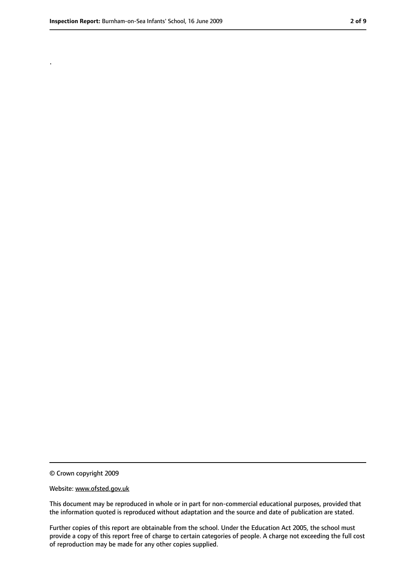.

<sup>©</sup> Crown copyright 2009

Website: www.ofsted.gov.uk

This document may be reproduced in whole or in part for non-commercial educational purposes, provided that the information quoted is reproduced without adaptation and the source and date of publication are stated.

Further copies of this report are obtainable from the school. Under the Education Act 2005, the school must provide a copy of this report free of charge to certain categories of people. A charge not exceeding the full cost of reproduction may be made for any other copies supplied.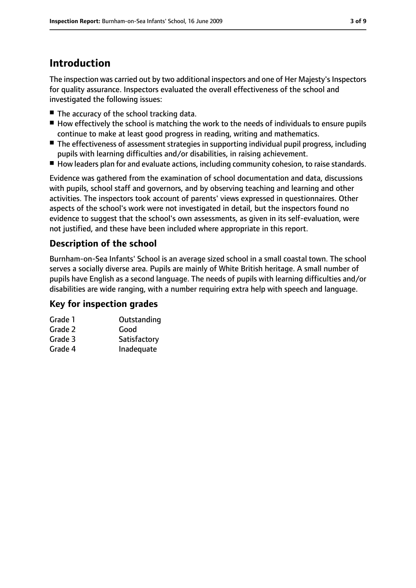# **Introduction**

The inspection was carried out by two additional inspectors and one of Her Majesty's Inspectors for quality assurance. Inspectors evaluated the overall effectiveness of the school and investigated the following issues:

- The accuracy of the school tracking data.
- How effectively the school is matching the work to the needs of individuals to ensure pupils continue to make at least good progress in reading, writing and mathematics.
- The effectiveness of assessment strategies in supporting individual pupil progress, including pupils with learning difficulties and/or disabilities, in raising achievement.
- How leaders plan for and evaluate actions, including community cohesion, to raise standards.

Evidence was gathered from the examination of school documentation and data, discussions with pupils, school staff and governors, and by observing teaching and learning and other activities. The inspectors took account of parents' views expressed in questionnaires. Other aspects of the school's work were not investigated in detail, but the inspectors found no evidence to suggest that the school's own assessments, as given in its self-evaluation, were not justified, and these have been included where appropriate in this report.

### **Description of the school**

Burnham-on-Sea Infants' School is an average sized school in a small coastal town. The school serves a socially diverse area. Pupils are mainly of White British heritage. A small number of pupils have English as a second language. The needs of pupils with learning difficulties and/or disabilities are wide ranging, with a number requiring extra help with speech and language.

### **Key for inspection grades**

| Outstanding  |
|--------------|
| Good         |
| Satisfactory |
| Inadequate   |
|              |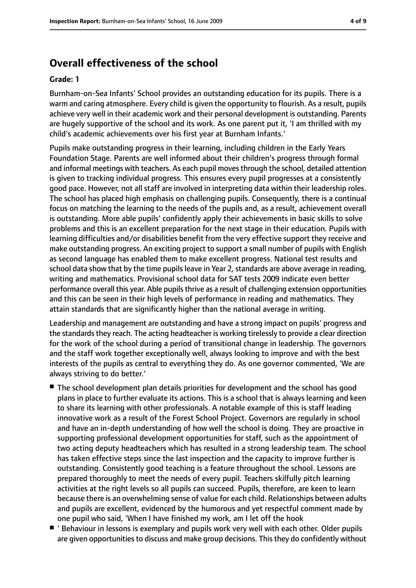## **Overall effectiveness of the school**

#### **Grade: 1**

Burnham-on-Sea Infants' School provides an outstanding education for its pupils. There is a warm and caring atmosphere. Every child is given the opportunity to flourish. As a result, pupils achieve very well in their academic work and their personal development is outstanding. Parents are hugely supportive of the school and its work. As one parent put it, 'I am thrilled with my child's academic achievements over his first year at Burnham Infants.'

Pupils make outstanding progress in their learning, including children in the Early Years Foundation Stage. Parents are well informed about their children's progress through formal and informal meetings with teachers. As each pupil movesthrough the school, detailed attention is given to tracking individual progress. This ensures every pupil progresses at a consistently good pace. However, not all staff are involved in interpreting data within their leadership roles. The school has placed high emphasis on challenging pupils. Consequently, there is a continual focus on matching the learning to the needs of the pupils and, as a result, achievement overall is outstanding. More able pupils' confidently apply their achievements in basic skills to solve problems and this is an excellent preparation for the next stage in their education. Pupils with learning difficulties and/or disabilities benefit from the very effective support they receive and make outstanding progress. An exciting project to support a small number of pupils with English as second language has enabled them to make excellent progress. National test results and school data show that by the time pupils leave in Year 2, standards are above average in reading, writing and mathematics. Provisional school data for SAT tests 2009 indicate even better performance overall this year. Able pupils thrive as a result of challenging extension opportunities and this can be seen in their high levels of performance in reading and mathematics. They attain standards that are significantly higher than the national average in writing.

Leadership and management are outstanding and have a strong impact on pupils' progress and the standards they reach. The acting headteacher is working tirelessly to provide a clear direction for the work of the school during a period of transitional change in leadership. The governors and the staff work together exceptionally well, always looking to improve and with the best interests of the pupils as central to everything they do. As one governor commented, 'We are always striving to do better.'

- The school development plan details priorities for development and the school has good plans in place to further evaluate its actions. This is a school that is always learning and keen to share its learning with other professionals. A notable example of this is staff leading innovative work as a result of the Forest School Project. Governors are regularly in school and have an in-depth understanding of how well the school is doing. They are proactive in supporting professional development opportunities for staff, such as the appointment of two acting deputy headteachers which has resulted in a strong leadership team. The school has taken effective steps since the last inspection and the capacity to improve further is outstanding. Consistently good teaching is a feature throughout the school. Lessons are prepared thoroughly to meet the needs of every pupil. Teachers skilfully pitch learning activities at the right levels so all pupils can succeed. Pupils, therefore, are keen to learn because there is an overwhelming sense of value for each child. Relationships between adults and pupils are excellent, evidenced by the humorous and yet respectful comment made by one pupil who said, 'When I have finished my work, am I let off the hook
- ' Behaviour in lessons is exemplary and pupils work very well with each other. Older pupils are given opportunities to discuss and make group decisions. This they do confidently without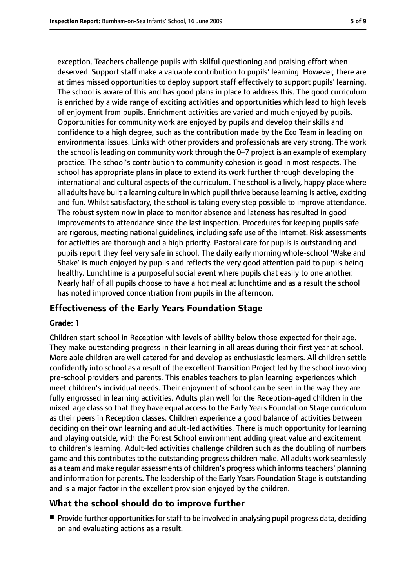exception. Teachers challenge pupils with skilful questioning and praising effort when deserved. Support staff make a valuable contribution to pupils' learning. However, there are at times missed opportunities to deploy support staff effectively to support pupils' learning. The school is aware of this and has good plans in place to address this. The good curriculum is enriched by a wide range of exciting activities and opportunities which lead to high levels of enjoyment from pupils. Enrichment activities are varied and much enjoyed by pupils. Opportunities for community work are enjoyed by pupils and develop their skills and confidence to a high degree, such as the contribution made by the Eco Team in leading on environmental issues. Links with other providers and professionals are very strong. The work the school is leading on community work through the 0–7 project is an example of exemplary practice. The school's contribution to community cohesion is good in most respects. The school has appropriate plans in place to extend its work further through developing the international and cultural aspects of the curriculum. The school is a lively, happy place where all adults have built a learning culture in which pupil thrive because learning is active, exciting and fun. Whilst satisfactory, the school is taking every step possible to improve attendance. The robust system now in place to monitor absence and lateness has resulted in good improvements to attendance since the last inspection. Procedures for keeping pupils safe are rigorous, meeting national guidelines, including safe use of the Internet. Risk assessments for activities are thorough and a high priority. Pastoral care for pupils is outstanding and pupils report they feel very safe in school. The daily early morning whole-school 'Wake and Shake' is much enjoyed by pupils and reflects the very good attention paid to pupils being healthy. Lunchtime is a purposeful social event where pupils chat easily to one another. Nearly half of all pupils choose to have a hot meal at lunchtime and as a result the school has noted improved concentration from pupils in the afternoon.

#### **Effectiveness of the Early Years Foundation Stage**

#### **Grade: 1**

Children start school in Reception with levels of ability below those expected for their age. They make outstanding progress in their learning in all areas during their first year at school. More able children are well catered for and develop as enthusiastic learners. All children settle confidently into school as a result of the excellent Transition Project led by the school involving pre-school providers and parents. This enables teachers to plan learning experiences which meet children's individual needs. Their enjoyment of school can be seen in the way they are fully engrossed in learning activities. Adults plan well for the Reception-aged children in the mixed-age class so that they have equal access to the Early Years Foundation Stage curriculum as their peers in Reception classes. Children experience a good balance of activities between deciding on their own learning and adult-led activities. There is much opportunity for learning and playing outside, with the Forest School environment adding great value and excitement to children's learning. Adult-led activities challenge children such as the doubling of numbers game and this contributes to the outstanding progress children make. All adults work seamlessly as a team and make regular assessments of children's progress which informs teachers' planning and information for parents. The leadership of the Early Years Foundation Stage is outstanding and is a major factor in the excellent provision enjoyed by the children.

#### **What the school should do to improve further**

■ Provide further opportunities for staff to be involved in analysing pupil progress data, deciding on and evaluating actions as a result.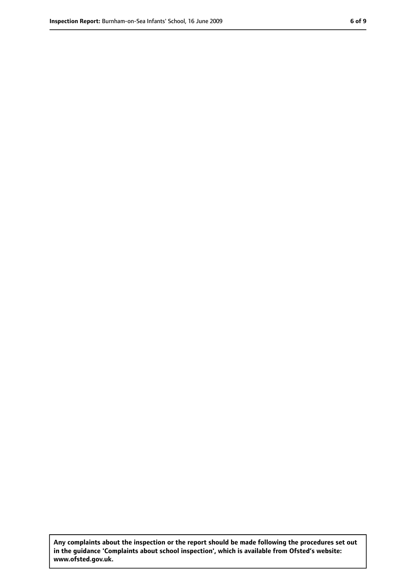**Any complaints about the inspection or the report should be made following the procedures set out in the guidance 'Complaints about school inspection', which is available from Ofsted's website: www.ofsted.gov.uk.**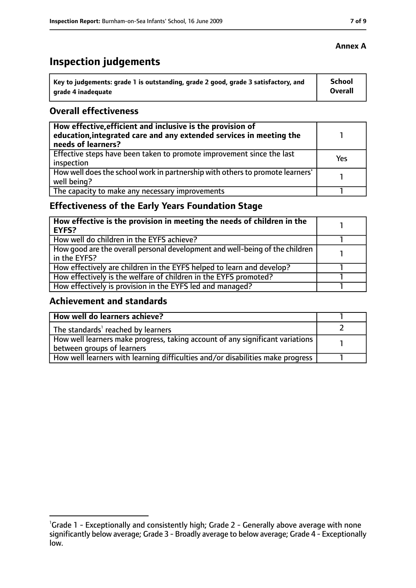# **Inspection judgements**

| Key to judgements: grade 1 is outstanding, grade 2 good, grade 3 satisfactory, and | <b>School</b>  |
|------------------------------------------------------------------------------------|----------------|
| arade 4 inadequate                                                                 | <b>Overall</b> |

#### **Overall effectiveness**

| How effective, efficient and inclusive is the provision of<br>education, integrated care and any extended services in meeting the<br>needs of learners? |     |
|---------------------------------------------------------------------------------------------------------------------------------------------------------|-----|
| Effective steps have been taken to promote improvement since the last<br>inspection                                                                     | Yes |
| How well does the school work in partnership with others to promote learners'<br>well being?                                                            |     |
| The capacity to make any necessary improvements                                                                                                         |     |

# **Effectiveness of the Early Years Foundation Stage**

| How effective is the provision in meeting the needs of children in the<br>l EYFS?            |  |
|----------------------------------------------------------------------------------------------|--|
| How well do children in the EYFS achieve?                                                    |  |
| How good are the overall personal development and well-being of the children<br>in the EYFS? |  |
| How effectively are children in the EYFS helped to learn and develop?                        |  |
| How effectively is the welfare of children in the EYFS promoted?                             |  |
| How effectively is provision in the EYFS led and managed?                                    |  |

### **Achievement and standards**

| How well do learners achieve?                                                               |  |
|---------------------------------------------------------------------------------------------|--|
| The standards <sup>1</sup> reached by learners                                              |  |
| $\mid$ How well learners make progress, taking account of any significant variations $\mid$ |  |
| between groups of learners                                                                  |  |
| How well learners with learning difficulties and/or disabilities make progress              |  |

<sup>&</sup>lt;sup>1</sup>Grade 1 - Exceptionally and consistently high; Grade 2 - Generally above average with none significantly below average; Grade 3 - Broadly average to below average; Grade 4 - Exceptionally low.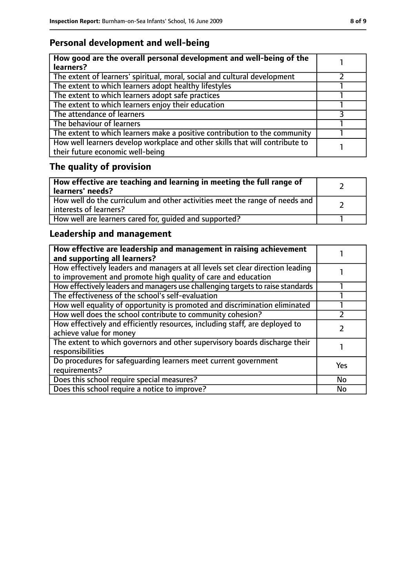# **Personal development and well-being**

| How good are the overall personal development and well-being of the<br>learners?                                 |  |
|------------------------------------------------------------------------------------------------------------------|--|
| The extent of learners' spiritual, moral, social and cultural development                                        |  |
| The extent to which learners adopt healthy lifestyles                                                            |  |
| The extent to which learners adopt safe practices                                                                |  |
| The extent to which learners enjoy their education                                                               |  |
| The attendance of learners                                                                                       |  |
| The behaviour of learners                                                                                        |  |
| The extent to which learners make a positive contribution to the community                                       |  |
| How well learners develop workplace and other skills that will contribute to<br>their future economic well-being |  |

# **The quality of provision**

| How effective are teaching and learning in meeting the full range of<br>learners' needs?              |  |
|-------------------------------------------------------------------------------------------------------|--|
| How well do the curriculum and other activities meet the range of needs and<br>interests of learners? |  |
| How well are learners cared for, quided and supported?                                                |  |

# **Leadership and management**

| How effective are leadership and management in raising achievement<br>and supporting all learners?                                              |     |
|-------------------------------------------------------------------------------------------------------------------------------------------------|-----|
| How effectively leaders and managers at all levels set clear direction leading<br>to improvement and promote high quality of care and education |     |
| How effectively leaders and managers use challenging targets to raise standards                                                                 |     |
| The effectiveness of the school's self-evaluation                                                                                               |     |
| How well equality of opportunity is promoted and discrimination eliminated                                                                      |     |
| How well does the school contribute to community cohesion?                                                                                      |     |
| How effectively and efficiently resources, including staff, are deployed to<br>achieve value for money                                          |     |
| The extent to which governors and other supervisory boards discharge their<br>responsibilities                                                  |     |
| Do procedures for safequarding learners meet current government<br>requirements?                                                                | Yes |
| Does this school require special measures?                                                                                                      | No  |
| Does this school require a notice to improve?                                                                                                   | No  |